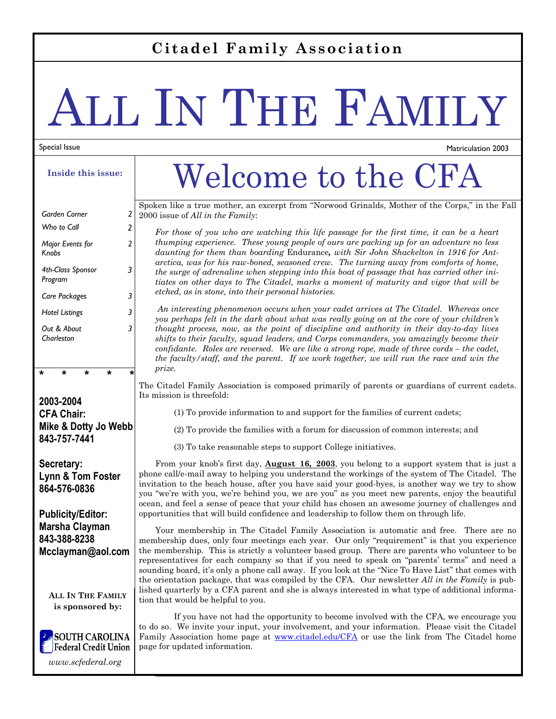#### **Citadel Family Association**

# ALL IN THE FAMILY

#### Special Issue

**Inside this issue:** 

| Garden Corner                | 2 |
|------------------------------|---|
| Who to Call                  | 2 |
| Major Events for<br>Knobs    | 2 |
| 4th-Class Sponsor<br>Program | 3 |
| Care Packages                | 3 |
| <b>Hotel Listings</b>        | 3 |
| Out & About<br>Charleston    |   |

**2003-2004 CFA Chair: Mike & Dotty Jo Webb 843-757-7441** 

**\* \* \* \* \*** 

**Secretary: Lynn & Tom Foster 864-576-0836** 

#### **Publicity/Editor: Marsha Clayman 843-388-8238 Mcclayman@aol.com**

**ALL IN THE FAMILY is sponsored by:** 



*www.scfederal.org* 

### Welcome to the CFA

Matriculation 2003

Spoken like a true mother, an excerpt from "Norwood Grinalds, Mother of the Corps," in the Fall 2000 issue of *All in the Family*:

*For those of you who are watching this life passage for the first time, it can be a heart thumping experience. These young people of ours are packing up for an adventure no less daunting for them than boarding* Endurance*, with Sir John Shackelton in 1916 for Antarctica, was for his raw-boned, seasoned crew. The turning away from comforts of home, the surge of adrenaline when stepping into this boat of passage that has carried other initiates on other days to The Citadel, marks a moment of maturity and vigor that will be etched, as in stone, into their personal histories.* 

*An interesting phenomenon occurs when your cadet arrives at The Citadel. Whereas once you perhaps felt in the dark about what was really going on at the core of your children's thought process, now, as the point of discipline and authority in their day-to-day lives shifts to their faculty, squad leaders, and Corps commanders, you amazingly become their confidante. Roles are reversed. We are like a strong rope, made of three cords – the cadet, the faculty/staff, and the parent. If we work together, we will run the race and win the prize.* 

The Citadel Family Association is composed primarily of parents or guardians of current cadets. Its mission is threefold:

(1) To provide information to and support for the families of current cadets;

(2) To provide the families with a forum for discussion of common interests; and

(3) To take reasonable steps to support College initiatives.

From your knob's first day, **August 16, 2003**, you belong to a support system that is just a phone call/e-mail away to helping you understand the workings of the system of The Citadel. The invitation to the beach house, after you have said your good-byes, is another way we try to show you "we're with you, we're behind you, we are you" as you meet new parents, enjoy the beautiful ocean, and feel a sense of peace that your child has chosen an awesome journey of challenges and opportunities that will build confidence and leadership to follow them on through life.

Your membership in The Citadel Family Association is automatic and free. There are no membership dues, only four meetings each year. Our only "requirement" is that you experience the membership. This is strictly a volunteer based group. There are parents who volunteer to be representatives for each company so that if you need to speak on "parents' terms" and need a sounding board, it's only a phone call away. If you look at the "Nice To Have List" that comes with the orientation package, that was compiled by the CFA. Our newsletter *All in the Family* is published quarterly by a CFA parent and she is always interested in what type of additional information that would be helpful to you.

 If you have not had the opportunity to become involved with the CFA, we encourage you to do so. We invite your input, your involvement, and your information. Please visit the Citadel Family Association home page at www.citadel.edu/CFA or use the link from The Citadel home page for updated information.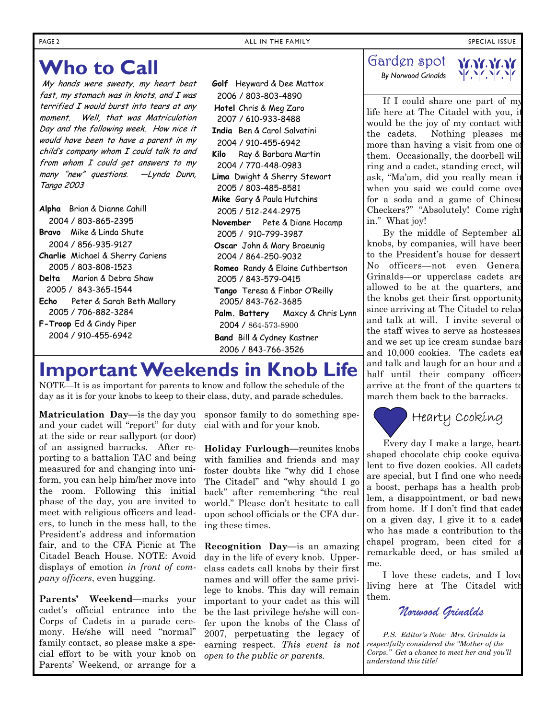#### **Who to Call**

My hands were sweaty, my heart beat fast, my stomach was in knots, and I was terrified I would burst into tears at any moment. Well, that was Matriculation Day and the following week. How nice it would have been to have a parent in my child's company whom I could talk to and from whom I could get answers to my many "new" questions. —Lynda Dunn, Tango 2003

- **Alpha** Brian & Dianne Cahill 2004 / 803-865-2395
- **Bravo** Mike & Linda Shute 2004 / 856-935-9127
- **Charlie** Michael & Sherry Cariens 2005 / 803-808-1523
- **Delta** Marion & Debra Shaw 2005 / 843-365-1544
- **Echo** Peter & Sarah Beth Mallory 2005 / 706-882-3284
- **F-Troop** Ed & Cindy Piper 2004 / 910-455-6942

 **Golf** Heyward & Dee Mattox 2006 / 803-803-4890  **Hotel** Chris & Meg Zaro 2007 / 610-933-8488 **India** Ben & Carol Salvatini 2004 / 910-455-6942 **Kilo** Ray & Barbara Martin 2004 / 770-448-0983 **Lima** Dwight & Sherry Stewart 2005 / 803-485-8581 **Mike** Gary & Paula Hutchins 2005 / 512-244-2975 **November** Pete & Diane Hocamp 2005 / 910-799-3987  **Oscar** John & Mary Braeunig 2004 / 864-250-9032  **Romeo** Randy & Elaine Cuthbertson 2005 / 843-579-0415  **Tango** Teresa & Finbar O'Reilly 2005/ 843-762-3685 **Palm. Battery** Maxcy & Chris Lynn 2004 / 864-573-8900 **Band** Bill & Cydney Kastner 2006 / 843-766-3526

#### **Important Weekends in Knob Life**

NOTE—It is as important for parents to know and follow the schedule of the day as it is for your knobs to keep to their class, duty, and parade schedules.

**Matriculation Day—**is the day you sponsor family to do something speand your cadet will "report" for duty at the side or rear sallyport (or door) of an assigned barracks. After reporting to a battalion TAC and being measured for and changing into uniform, you can help him/her move into the room. Following this initial phase of the day, you are invited to meet with religious officers and leaders, to lunch in the mess hall, to the President's address and information fair, and to the CFA Picnic at The Citadel Beach House. NOTE: Avoid displays of emotion *in front of company officers*, even hugging.

**Parents' Weekend—**marks your cadet's official entrance into the Corps of Cadets in a parade ceremony. He/she will need "normal" family contact, so please make a special effort to be with your knob on Parents' Weekend, or arrange for a

cial with and for your knob.

**Holiday Furlough—**reunites knobs with families and friends and may foster doubts like "why did I chose The Citadel" and "why should I go back" after remembering "the real world." Please don't hesitate to call upon school officials or the CFA during these times.

**Recognition Day—**is an amazing day in the life of every knob. Upperclass cadets call knobs by their first names and will offer the same privilege to knobs. This day will remain important to your cadet as this will be the last privilege he/she will confer upon the knobs of the Class of 2007, perpetuating the legacy of earning respect. *This event is not open to the public or parents.*

#### Garden spot

 *By Norwood Grinalds* 



If I could share one part of my life here at The Citadel with you, it would be the joy of my contact with the cadets. Nothing pleases me more than having a visit from one of them. Occasionally, the doorbell will ring and a cadet, standing erect, will ask, "Ma'am, did you really mean it when you said we could come over for a soda and a game of Chinese Checkers?" "Absolutely! Come right in." What joy!

By the middle of September all knobs, by companies, will have been to the President's house for dessert. No officers—not even General Grinalds—or upperclass cadets are allowed to be at the quarters, and the knobs get their first opportunity since arriving at The Citadel to relax and talk at will. I invite several of the staff wives to serve as hostesses, and we set up ice cream sundae bars and 10,000 cookies. The cadets eat and talk and laugh for an hour and a half until their company officers arrive at the front of the quarters to march them back to the barracks.

### Hearty Cooking

Every day I make a large, heartshaped chocolate chip cooke equivalent to five dozen cookies. All cadets are special, but I find one who needs a boost, perhaps has a health problem, a disappointment, or bad news from home. If I don't find that cadet on a given day, I give it to a cadet who has made a contribution to the chapel program, been cited for a remarkable deed, or has smiled at me.

I love these cadets, and I love living here at The Citadel with them.

*Norwood Grinalds* 

*P.S. Editor's Note: Mrs. Grinalds is respectfully considered the "Mother of the Corps." Get a chance to meet her and you'll understand this title!*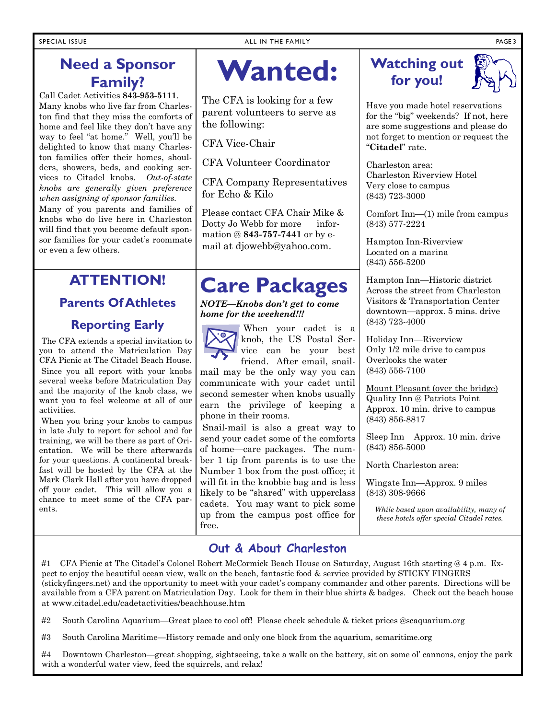#### **Need a Sponsor Family?**

Call Cadet Activities **843-953-5111**. Many knobs who live far from Charleston find that they miss the comforts of home and feel like they don't have any way to feel "at home." Well, you'll be delighted to know that many Charleston families offer their homes, shoulders, showers, beds, and cooking services to Citadel knobs. *Out-of-state knobs are generally given preference when assigning of sponsor families.* 

Many of you parents and families of knobs who do live here in Charleston will find that you become default sponsor families for your cadet's roommate or even a few others.

#### **ATTENTION!**

#### **Parents Of Athletes Reporting Early**

The CFA extends a special invitation to you to attend the Matriculation Day CFA Picnic at The Citadel Beach House. Since you all report with your knobs several weeks before Matriculation Day and the majority of the knob class, we want you to feel welcome at all of our activities.

 When you bring your knobs to campus in late July to report for school and for training, we will be there as part of Orientation. We will be there afterwards for your questions. A continental breakfast will be hosted by the CFA at the Mark Clark Hall after you have dropped off your cadet. This will allow you a chance to meet some of the CFA parents.

### **Wanted:**

The CFA is looking for a few parent volunteers to serve as the following:

CFA Vice-Chair

CFA Volunteer Coordinator

CFA Company Representatives for Echo & Kilo

Please contact CFA Chair Mike & Dotty Jo Webb for more information @ **843-757-7441** or by email at djowebb@yahoo.com.

#### **Care Packages**

*NOTE—Knobs don't get to come home for the weekend!!!* 

When your cadet is a knob, the US Postal Service can be your best

friend. After email, snailmail may be the only way you can communicate with your cadet until second semester when knobs usually earn the privilege of keeping a phone in their rooms.

 Snail-mail is also a great way to send your cadet some of the comforts of home—care packages. The number 1 tip from parents is to use the Number 1 box from the post office; it will fit in the knobbie bag and is less likely to be "shared" with upperclass cadets. You may want to pick some up from the campus post office for free.



Have you made hotel reservations for the "big" weekends? If not, here are some suggestions and please do not forget to mention or request the "**Citadel**" rate.

Charleston area: Charleston Riverview Hotel Very close to campus (843) 723-3000

Comfort Inn—(1) mile from campus (843) 577-2224

Hampton Inn-Riverview Located on a marina (843) 556-5200

Hampton Inn—Historic district Across the street from Charleston Visitors & Transportation Center downtown—approx. 5 mins. drive (843) 723-4000

Holiday Inn—Riverview Only 1/2 mile drive to campus Overlooks the water (843) 556-7100

Mount Pleasant (over the bridge) Quality Inn @ Patriots Point Approx. 10 min. drive to campus (843) 856-8817

Sleep Inn Approx. 10 min. drive (843) 856-5000

North Charleston area:

Wingate Inn—Approx. 9 miles (843) 308-9666

*While based upon availability, many of these hotels offer special Citadel rates.* 

#### **Out & About Charleston**

#1 CFA Picnic at The Citadel's Colonel Robert McCormick Beach House on Saturday, August 16th starting @ 4 p.m. Expect to enjoy the beautiful ocean view, walk on the beach, fantastic food & service provided by STICKY FINGERS (stickyfingers.net) and the opportunity to meet with your cadet's company commander and other parents. Directions will be available from a CFA parent on Matriculation Day. Look for them in their blue shirts & badges. Check out the beach house at www.citadel.edu/cadetactivities/beachhouse.htm

#2 South Carolina Aquarium—Great place to cool off! Please check schedule & ticket prices @scaquarium.org

#3 South Carolina Maritime—History remade and only one block from the aquarium, scmaritime.org

Downtown Charleston—great shopping, sightseeing, take a walk on the battery, sit on some ol' cannons, enjoy the park with a wonderful water view, feed the squirrels, and relax!